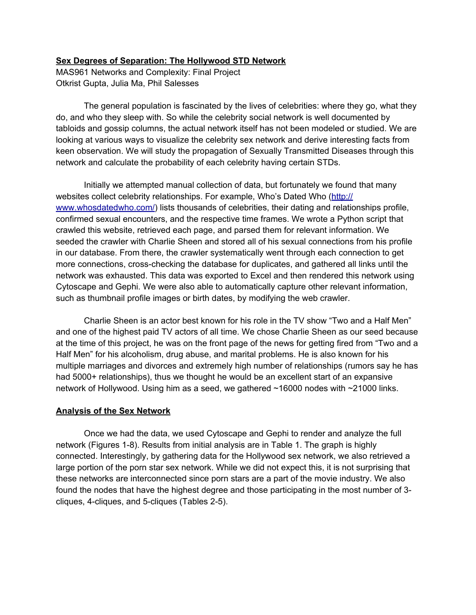### **Sex Degrees of Separation: The Hollywood STD Network**

MAS961 Networks and Complexity: Final Project Otkrist Gupta, Julia Ma, Phil Salesses

The general population is fascinated by the lives of celebrities: where they go, what they do, and who they sleep with. So while the celebrity social network is well documented by tabloids and gossip columns, the actual network itself has not been modeled or studied. We are looking at various ways to visualize the celebrity sex network and derive interesting facts from keen observation. We will study the propagation of Sexually Transmitted Diseases through this network and calculate the probability of each celebrity having certain STDs.

Initially we attempted manual collection of data, but fortunately we found that many websites collect celebrity relationships. For example, Who's Dated Who ([http://](http://www.whosdatedwho.com/) [www.whosdatedwho.com/](http://www.whosdatedwho.com/)) lists thousands of celebrities, their dating and relationships profile, confirmed sexual encounters, and the respective time frames. We wrote a Python script that crawled this website, retrieved each page, and parsed them for relevant information. We seeded the crawler with Charlie Sheen and stored all of his sexual connections from his profile in our database. From there, the crawler systematically went through each connection to get more connections, cross-checking the database for duplicates, and gathered all links until the network was exhausted. This data was exported to Excel and then rendered this network using Cytoscape and Gephi. We were also able to automatically capture other relevant information, such as thumbnail profile images or birth dates, by modifying the web crawler.

Charlie Sheen is an actor best known for his role in the TV show "Two and a Half Men" and one of the highest paid TV actors of all time. We chose Charlie Sheen as our seed because at the time of this project, he was on the front page of the news for getting fired from "Two and a Half Men" for his alcoholism, drug abuse, and marital problems. He is also known for his multiple marriages and divorces and extremely high number of relationships (rumors say he has had 5000+ relationships), thus we thought he would be an excellent start of an expansive network of Hollywood. Using him as a seed, we gathered ~16000 nodes with ~21000 links.

#### **Analysis of the Sex Network**

Once we had the data, we used Cytoscape and Gephi to render and analyze the full network (Figures 1-8). Results from initial analysis are in Table 1. The graph is highly connected. Interestingly, by gathering data for the Hollywood sex network, we also retrieved a large portion of the porn star sex network. While we did not expect this, it is not surprising that these networks are interconnected since porn stars are a part of the movie industry. We also found the nodes that have the highest degree and those participating in the most number of 3 cliques, 4-cliques, and 5-cliques (Tables 2-5).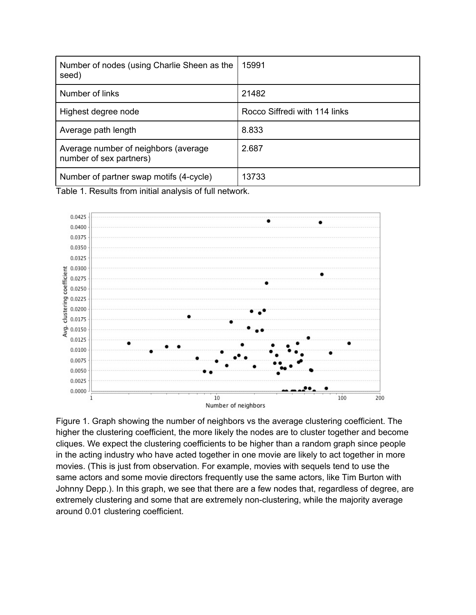| Number of nodes (using Charlie Sheen as the<br>seed)             | 15991                         |
|------------------------------------------------------------------|-------------------------------|
| Number of links                                                  | 21482                         |
| Highest degree node                                              | Rocco Siffredi with 114 links |
| Average path length                                              | 8.833                         |
| Average number of neighbors (average)<br>number of sex partners) | 2.687                         |
| Number of partner swap motifs (4-cycle)                          | 13733                         |

Table 1. Results from initial analysis of full network.



Figure 1. Graph showing the number of neighbors vs the average clustering coefficient. The higher the clustering coefficient, the more likely the nodes are to cluster together and become cliques. We expect the clustering coefficients to be higher than a random graph since people in the acting industry who have acted together in one movie are likely to act together in more movies. (This is just from observation. For example, movies with sequels tend to use the same actors and some movie directors frequently use the same actors, like Tim Burton with Johnny Depp.). In this graph, we see that there are a few nodes that, regardless of degree, are extremely clustering and some that are extremely non-clustering, while the majority average around 0.01 clustering coefficient.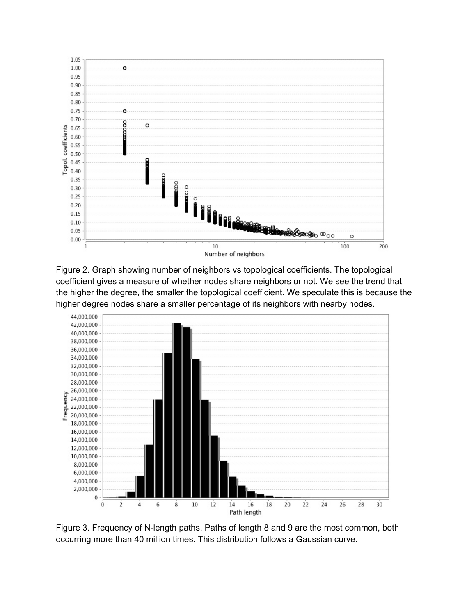

Figure 2. Graph showing number of neighbors vs topological coefficients. The topological coefficient gives a measure of whether nodes share neighbors or not. We see the trend that the higher the degree, the smaller the topological coefficient. We speculate this is because the higher degree nodes share a smaller percentage of its neighbors with nearby nodes.



Figure 3. Frequency of N-length paths. Paths of length 8 and 9 are the most common, both occurring more than 40 million times. This distribution follows a Gaussian curve.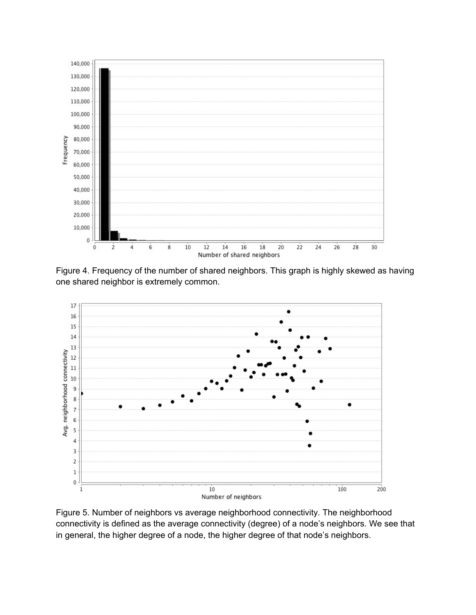

Figure 4. Frequency of the number of shared neighbors. This graph is highly skewed as having one shared neighbor is extremely common.



Figure 5. Number of neighbors vs average neighborhood connectivity. The neighborhood connectivity is defined as the average connectivity (degree) of a node's neighbors. We see that in general, the higher degree of a node, the higher degree of that node's neighbors.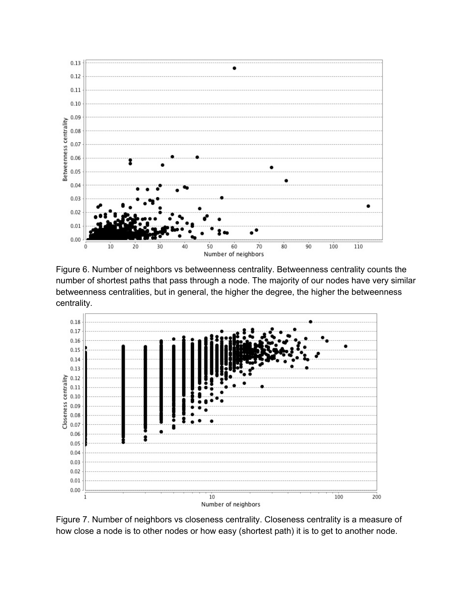

Figure 6. Number of neighbors vs betweenness centrality. Betweenness centrality counts the number of shortest paths that pass through a node. The majority of our nodes have very similar betweenness centralities, but in general, the higher the degree, the higher the betweenness centrality.



Figure 7. Number of neighbors vs closeness centrality. Closeness centrality is a measure of how close a node is to other nodes or how easy (shortest path) it is to get to another node.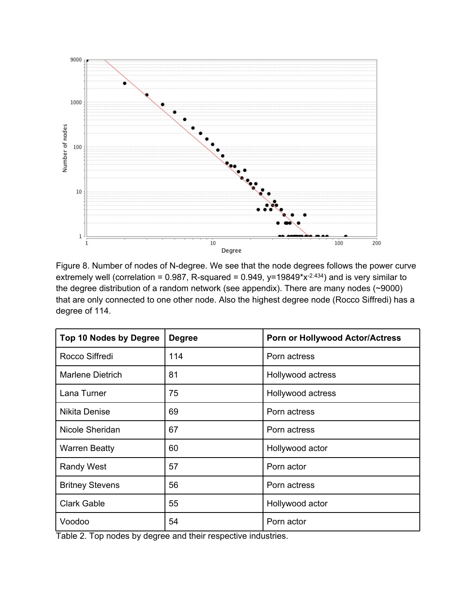

Figure 8. Number of nodes of N-degree. We see that the node degrees follows the power curve extremely well (correlation = 0.987, R-squared = 0.949, y=19849\*x<sup>-2.434</sup>) and is very similar to the degree distribution of a random network (see appendix). There are many nodes (~9000) that are only connected to one other node. Also the highest degree node (Rocco Siffredi) has a degree of 114.

| <b>Top 10 Nodes by Degree</b> | <b>Degree</b> | Porn or Hollywood Actor/Actress |
|-------------------------------|---------------|---------------------------------|
| Rocco Siffredi                | 114           | Porn actress                    |
| <b>Marlene Dietrich</b>       | 81            | Hollywood actress               |
| Lana Turner                   | 75            | Hollywood actress               |
| <b>Nikita Denise</b>          | 69            | Porn actress                    |
| Nicole Sheridan               | 67            | Porn actress                    |
| <b>Warren Beatty</b>          | 60            | Hollywood actor                 |
| <b>Randy West</b>             | 57            | Porn actor                      |
| <b>Britney Stevens</b>        | 56            | Porn actress                    |
| <b>Clark Gable</b>            | 55            | Hollywood actor                 |
| Voodoo                        | 54            | Porn actor                      |

Table 2. Top nodes by degree and their respective industries.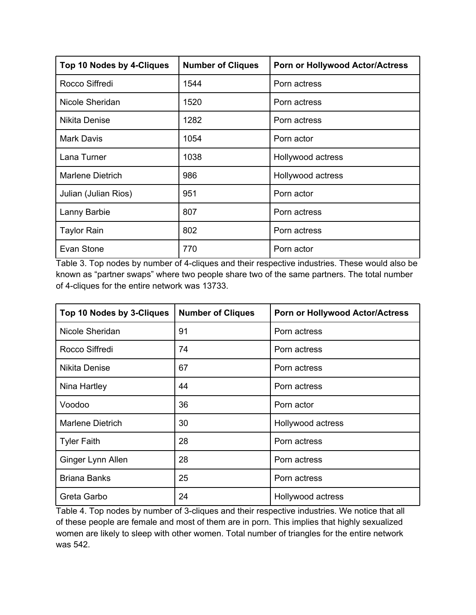| Top 10 Nodes by 4-Cliques | <b>Number of Cliques</b> | <b>Porn or Hollywood Actor/Actress</b> |
|---------------------------|--------------------------|----------------------------------------|
| Rocco Siffredi            | 1544                     | Porn actress                           |
| Nicole Sheridan           | 1520                     | Porn actress                           |
| Nikita Denise             | 1282                     | Porn actress                           |
| <b>Mark Davis</b>         | 1054                     | Porn actor                             |
| Lana Turner               | 1038                     | Hollywood actress                      |
| <b>Marlene Dietrich</b>   | 986                      | Hollywood actress                      |
| Julian (Julian Rios)      | 951                      | Porn actor                             |
| Lanny Barbie              | 807                      | Porn actress                           |
| <b>Taylor Rain</b>        | 802                      | Porn actress                           |
| Evan Stone                | 770                      | Porn actor                             |

Table 3. Top nodes by number of 4-cliques and their respective industries. These would also be known as "partner swaps" where two people share two of the same partners. The total number of 4-cliques for the entire network was 13733.

| Top 10 Nodes by 3-Cliques | <b>Number of Cliques</b> | <b>Porn or Hollywood Actor/Actress</b> |
|---------------------------|--------------------------|----------------------------------------|
| Nicole Sheridan           | 91                       | Porn actress                           |
| Rocco Siffredi            | 74                       | Porn actress                           |
| <b>Nikita Denise</b>      | 67                       | Porn actress                           |
| Nina Hartley              | 44                       | Porn actress                           |
| Voodoo                    | 36                       | Porn actor                             |
| <b>Marlene Dietrich</b>   | 30                       | Hollywood actress                      |
| <b>Tyler Faith</b>        | 28                       | Porn actress                           |
| Ginger Lynn Allen         | 28                       | Porn actress                           |
| <b>Briana Banks</b>       | 25                       | Porn actress                           |
| Greta Garbo               | 24                       | Hollywood actress                      |

Table 4. Top nodes by number of 3-cliques and their respective industries. We notice that all of these people are female and most of them are in porn. This implies that highly sexualized women are likely to sleep with other women. Total number of triangles for the entire network was 542.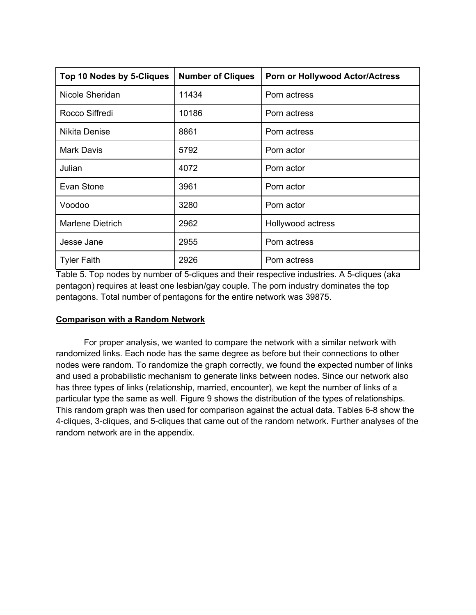| Top 10 Nodes by 5-Cliques | <b>Number of Cliques</b> | Porn or Hollywood Actor/Actress |
|---------------------------|--------------------------|---------------------------------|
| Nicole Sheridan           | 11434                    | Porn actress                    |
| Rocco Siffredi            | 10186                    | Porn actress                    |
| Nikita Denise             | 8861                     | Porn actress                    |
| <b>Mark Davis</b>         | 5792                     | Porn actor                      |
| Julian                    | 4072                     | Porn actor                      |
| Evan Stone                | 3961                     | Porn actor                      |
| Voodoo                    | 3280                     | Porn actor                      |
| <b>Marlene Dietrich</b>   | 2962                     | Hollywood actress               |
| Jesse Jane                | 2955                     | Porn actress                    |
| <b>Tyler Faith</b>        | 2926                     | Porn actress                    |

Table 5. Top nodes by number of 5-cliques and their respective industries. A 5-cliques (aka pentagon) requires at least one lesbian/gay couple. The porn industry dominates the top pentagons. Total number of pentagons for the entire network was 39875.

## **Comparison with a Random Network**

For proper analysis, we wanted to compare the network with a similar network with randomized links. Each node has the same degree as before but their connections to other nodes were random. To randomize the graph correctly, we found the expected number of links and used a probabilistic mechanism to generate links between nodes. Since our network also has three types of links (relationship, married, encounter), we kept the number of links of a particular type the same as well. Figure 9 shows the distribution of the types of relationships. This random graph was then used for comparison against the actual data. Tables 6-8 show the 4-cliques, 3-cliques, and 5-cliques that came out of the random network. Further analyses of the random network are in the appendix.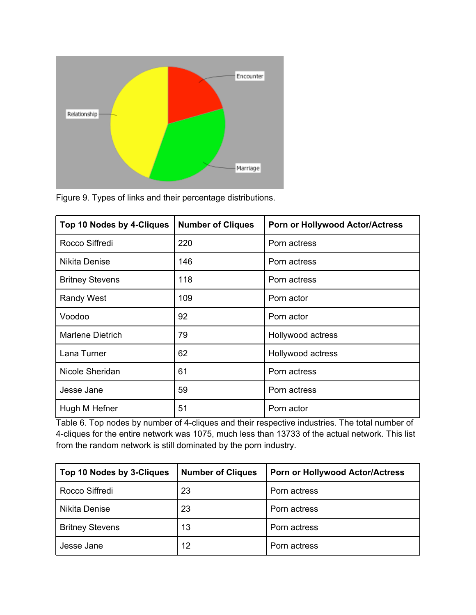

Figure 9. Types of links and their percentage distributions.

| Top 10 Nodes by 4-Cliques | <b>Number of Cliques</b> | <b>Porn or Hollywood Actor/Actress</b> |
|---------------------------|--------------------------|----------------------------------------|
| Rocco Siffredi            | 220                      | Porn actress                           |
| Nikita Denise             | 146                      | Porn actress                           |
| <b>Britney Stevens</b>    | 118                      | Porn actress                           |
| <b>Randy West</b>         | 109                      | Porn actor                             |
| Voodoo                    | 92                       | Porn actor                             |
| <b>Marlene Dietrich</b>   | 79                       | Hollywood actress                      |
| Lana Turner               | 62                       | Hollywood actress                      |
| Nicole Sheridan           | 61                       | Porn actress                           |
| Jesse Jane                | 59                       | Porn actress                           |
| Hugh M Hefner             | 51                       | Porn actor                             |

Table 6. Top nodes by number of 4-cliques and their respective industries. The total number of 4-cliques for the entire network was 1075, much less than 13733 of the actual network. This list from the random network is still dominated by the porn industry.

| Top 10 Nodes by 3-Cliques | <b>Number of Cliques</b> | <b>Porn or Hollywood Actor/Actress</b> |
|---------------------------|--------------------------|----------------------------------------|
| Rocco Siffredi            | 23                       | Porn actress                           |
| Nikita Denise             | 23                       | Porn actress                           |
| <b>Britney Stevens</b>    | 13                       | Porn actress                           |
| Jesse Jane                | 12                       | Porn actress                           |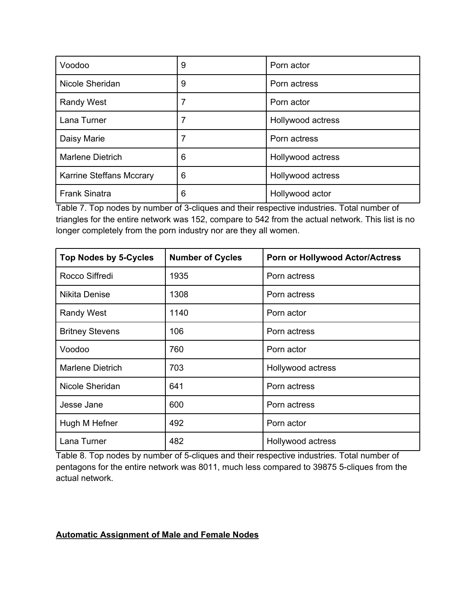| Voodoo                   | 9 | Porn actor        |
|--------------------------|---|-------------------|
| Nicole Sheridan          | 9 | Porn actress      |
| <b>Randy West</b>        | 7 | Porn actor        |
| Lana Turner              |   | Hollywood actress |
| Daisy Marie              |   | Porn actress      |
| <b>Marlene Dietrich</b>  | 6 | Hollywood actress |
| Karrine Steffans Mccrary | 6 | Hollywood actress |
| <b>Frank Sinatra</b>     | 6 | Hollywood actor   |

Table 7. Top nodes by number of 3-cliques and their respective industries. Total number of triangles for the entire network was 152, compare to 542 from the actual network. This list is no longer completely from the porn industry nor are they all women.

| <b>Top Nodes by 5-Cycles</b> | <b>Number of Cycles</b> | Porn or Hollywood Actor/Actress |
|------------------------------|-------------------------|---------------------------------|
| Rocco Siffredi               | 1935                    | Porn actress                    |
| Nikita Denise                | 1308                    | Porn actress                    |
| <b>Randy West</b>            | 1140                    | Porn actor                      |
| <b>Britney Stevens</b>       | 106                     | Porn actress                    |
| Voodoo                       | 760                     | Porn actor                      |
| Marlene Dietrich             | 703                     | Hollywood actress               |
| Nicole Sheridan              | 641                     | Porn actress                    |
| Jesse Jane                   | 600                     | Porn actress                    |
| Hugh M Hefner                | 492                     | Porn actor                      |
| Lana Turner                  | 482                     | Hollywood actress               |

Table 8. Top nodes by number of 5-cliques and their respective industries. Total number of pentagons for the entire network was 8011, much less compared to 39875 5-cliques from the actual network.

## **Automatic Assignment of Male and Female Nodes**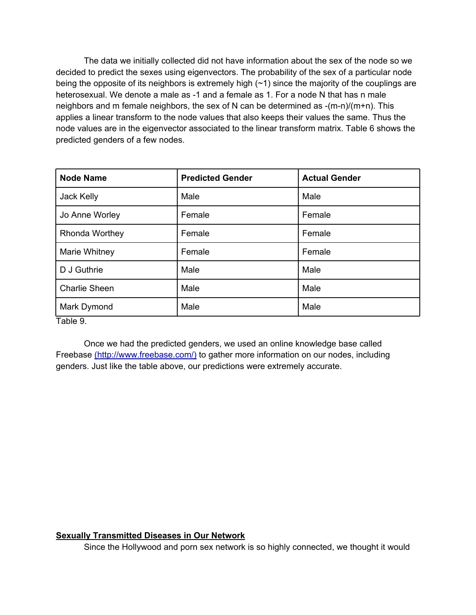The data we initially collected did not have information about the sex of the node so we decided to predict the sexes using eigenvectors. The probability of the sex of a particular node being the opposite of its neighbors is extremely high  $(-1)$  since the majority of the couplings are heterosexual. We denote a male as -1 and a female as 1. For a node N that has n male neighbors and m female neighbors, the sex of N can be determined as  $-(m-n)/(m+n)$ . This applies a linear transform to the node values that also keeps their values the same. Thus the node values are in the eigenvector associated to the linear transform matrix. Table 6 shows the predicted genders of a few nodes.

| <b>Node Name</b>     | <b>Predicted Gender</b> | <b>Actual Gender</b> |
|----------------------|-------------------------|----------------------|
| Jack Kelly           | Male                    | Male                 |
| Jo Anne Worley       | Female                  | Female               |
| Rhonda Worthey       | Female                  | Female               |
| Marie Whitney        | Female                  | Female               |
| D J Guthrie          | Male                    | Male                 |
| <b>Charlie Sheen</b> | Male                    | Male                 |
| Mark Dymond          | Male                    | Male                 |

Table 9.

Once we had the predicted genders, we used an online knowledge base called Freebase (http://www.freebase.com/) to gather more information on our nodes, including genders. Just like the table above, our predictions were extremely accurate.

#### **Sexually Transmitted Diseases in Our Network**

Since the Hollywood and porn sex network is so highly connected, we thought it would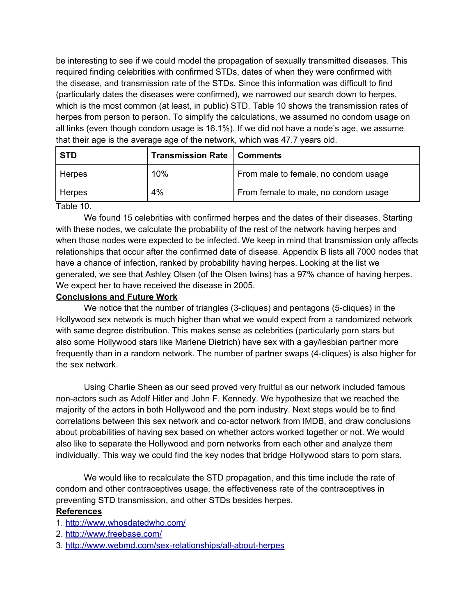be interesting to see if we could model the propagation of sexually transmitted diseases. This required finding celebrities with confirmed STDs, dates of when they were confirmed with the disease, and transmission rate of the STDs. Since this information was difficult to find (particularly dates the diseases were confirmed), we narrowed our search down to herpes, which is the most common (at least, in public) STD. Table 10 shows the transmission rates of herpes from person to person. To simplify the calculations, we assumed no condom usage on all links (even though condom usage is 16.1%). If we did not have a node's age, we assume that their age is the average age of the network, which was 47.7 years old.

| <b>STD</b> | <b>Transmission Rate   Comments</b> |                                      |
|------------|-------------------------------------|--------------------------------------|
| Herpes     | 10%                                 | From male to female, no condom usage |
| Herpes '   | 4%                                  | From female to male, no condom usage |

Table 10.

We found 15 celebrities with confirmed herpes and the dates of their diseases. Starting with these nodes, we calculate the probability of the rest of the network having herpes and when those nodes were expected to be infected. We keep in mind that transmission only affects relationships that occur after the confirmed date of disease. Appendix B lists all 7000 nodes that have a chance of infection, ranked by probability having herpes. Looking at the list we generated, we see that Ashley Olsen (of the Olsen twins) has a 97% chance of having herpes. We expect her to have received the disease in 2005.

## **Conclusions and Future Work**

We notice that the number of triangles (3-cliques) and pentagons (5-cliques) in the Hollywood sex network is much higher than what we would expect from a randomized network with same degree distribution. This makes sense as celebrities (particularly porn stars but also some Hollywood stars like Marlene Dietrich) have sex with a gay/lesbian partner more frequently than in a random network. The number of partner swaps (4-cliques) is also higher for the sex network.

Using Charlie Sheen as our seed proved very fruitful as our network included famous non-actors such as Adolf Hitler and John F. Kennedy. We hypothesize that we reached the majority of the actors in both Hollywood and the porn industry. Next steps would be to find correlations between this sex network and co-actor network from IMDB, and draw conclusions about probabilities of having sex based on whether actors worked together or not. We would also like to separate the Hollywood and porn networks from each other and analyze them individually. This way we could find the key nodes that bridge Hollywood stars to porn stars.

We would like to recalculate the STD propagation, and this time include the rate of condom and other contraceptives usage, the effectiveness rate of the contraceptives in preventing STD transmission, and other STDs besides herpes.

## **References**

- 1. [http://www.whosdatedwho.com/](http://www.google.com/url?q=http%3A%2F%2Fwww.whosdatedwho.com%2F&sa=D&sntz=1&usg=AFQjCNEZcKEKpQYSnZPuShev1munsmlyWg)
- 2. <http://www.freebase.com/>
- 3. [http://www.webmd.com/sex-relationships/all-about-herpes](http://www.google.com/url?q=http%3A%2F%2Fwww.webmd.com%2Fsex-relationships%2Fall-about-herpes&sa=D&sntz=1&usg=AFQjCNHsufpFoJ11IBK9CbaQi1Y2EvwRug)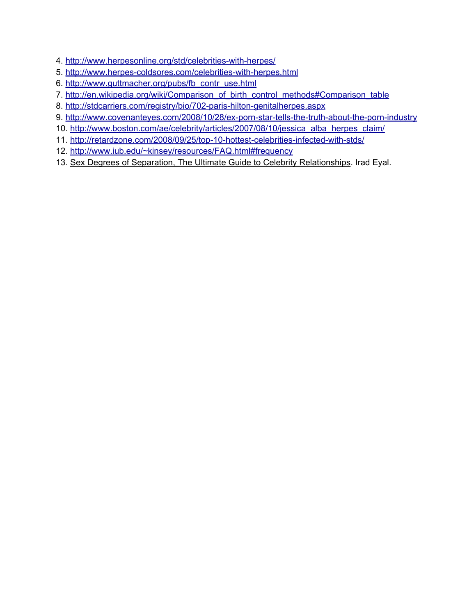- 4. [http://www.herpesonline.org/std/celebrities-with-herpes/](http://www.google.com/url?q=http%3A%2F%2Fwww.herpesonline.org%2Fstd%2Fcelebrities-with-herpes%2F&sa=D&sntz=1&usg=AFQjCNEOlkNu9KliSV2uf_ThQidDJ8vWbQ)
- 5. <http://www.herpes-coldsores.com/celebrities-with-herpes.html>
- 6. [http://www.guttmacher.org/pubs/fb\\_contr\\_use.html](http://www.google.com/url?q=http%3A%2F%2Fwww.guttmacher.org%2Fpubs%2Ffb_contr_use.html&sa=D&sntz=1&usg=AFQjCNE2TTaXKZ851hwzfoznxuHb-sMqaw)
- 7. [http://en.wikipedia.org/wiki/Comparison\\_of\\_birth\\_control\\_methods#Comparison\\_table](http://www.google.com/url?q=http%3A%2F%2Fen.wikipedia.org%2Fwiki%2FComparison_of_birth_control_methods%23Comparison_table&sa=D&sntz=1&usg=AFQjCNEkcGTMA-4BvTxiGZNC2niEs2fRMw)
- 8. [http://stdcarriers.com/registry/bio/702-paris-hilton-genitalherpes.aspx](http://www.google.com/url?q=http%3A%2F%2Fstdcarriers.com%2Fregistry%2Fbio%2F702-paris-hilton-genitalherpes.aspx&sa=D&sntz=1&usg=AFQjCNHysy1sCAvL5JEHOoYB4w_N71k5PQ)
- 9. <http://www.covenanteyes.com/2008/10/28/ex-porn-star-tells-the-truth-about-the-porn-industry>
- 10. [http://www.boston.com/ae/celebrity/articles/2007/08/10/jessica\\_alba\\_herpes\\_claim/](http://www.google.com/url?q=http%3A%2F%2Fwww.boston.com%2Fae%2Fcelebrity%2Farticles%2F2007%2F08%2F10%2Fjessica_alba_herpes_claim%2F&sa=D&sntz=1&usg=AFQjCNFclvmvsAT93LL-iTmVvucui7FKTg)
- 11. [http://retardzone.com/2008/09/25/top-10-hottest-celebrities-infected-with-stds/](http://www.google.com/url?q=http%3A%2F%2Fretardzone.com%2F2008%2F09%2F25%2Ftop-10-hottest-celebrities-infected-with-stds%2F&sa=D&sntz=1&usg=AFQjCNHFiVCwn8m417p1Zb_J0NJmuw4LoQ)
- 12. <http://www.iub.edu/~kinsey/resources/FAQ.html#frequency>
- 13. Sex Degrees of Separation, The Ultimate Guide to Celebrity Relationships. Irad Eyal.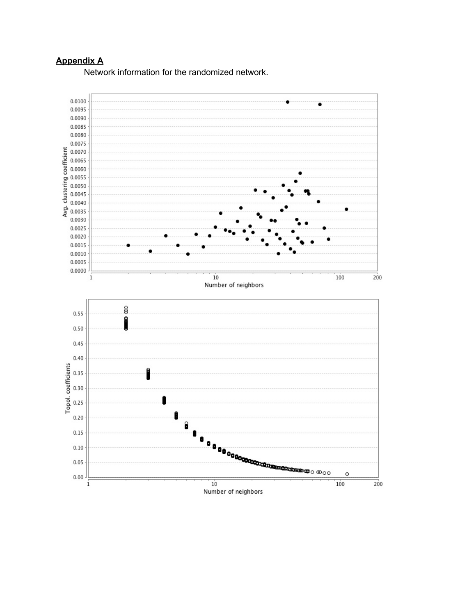# **Appendix A**

Network information for the randomized network.

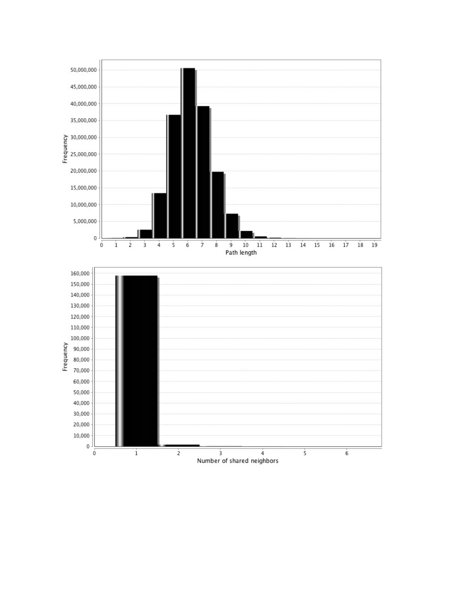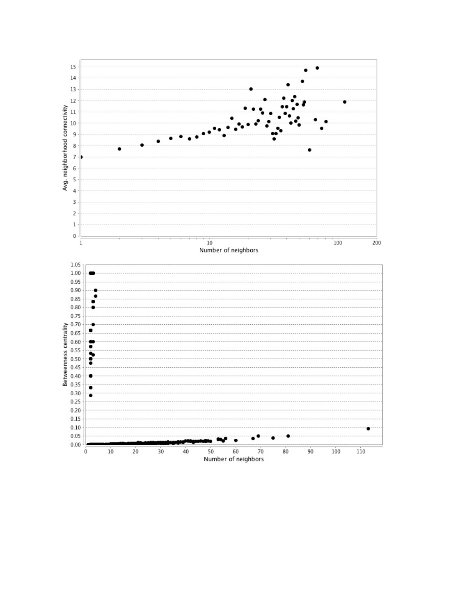